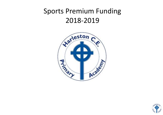## Sports Premium Funding 2018-2019



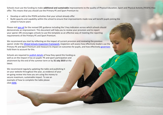Schools must use the funding to make **additional and sustainable** improvements to the quality of Physical Education, Sport and Physical Activity (PESPA) they offer. This means that you should use the Primary PE and Sport Premium to:

- Develop or add to the PESPA activities that your school already offer
- Build capacity and capability within the school to ensure that improvements made now will benefit pupils joining the school in future years

Please visit [gov.uk](https://www.gov.uk/guidance/pe-and-sport-premium-for-primary-schools) for the revised DfE guidance including the 5 key indicators across which schools should demonstrate an improvement. This document will help you to review your provision and to report your spend. DfE encourages schools to use this template as an effective way of meeting the reporting requirements of the Primary PE and Sport Premium.

We recommend you start by reflecting on the impact of current provision and reviewing the previous spend. Under the Ofsted Schools Inspection [Framework,](https://www.gov.uk/government/publications/school-inspection-handbook-from-september-2015) inspectors will assess how effectively leaders use the Primary PE and Sport Premium and measure its impact on outcomes for pupils, and how effectively [governors](https://www.gov.uk/government/publications/governance-handbook) hold them to account for this.

Schools are required to [publish details](https://www.gov.uk/guidance/what-maintained-schools-must-publish-online#pe-and-sport-premium-for-primary-schools) of how they spend this funding as well as on the impact it has on pupils' PE and sport participation and attainment by the end of the summer term or by **31 July 2019** at the latest.

We recommend regularly updating the table and publishing it on your website throughout the year, as evidence of your on-going review into how you are using the money to secure maximum, sustainable impact. To see an example of how to complete the table please click [HERE.](http://www.afpe.org.uk/physical-education/wp-content/uploads/afPE-Example-Template-Indicator-2018-Final.pdf)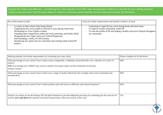Support for review and reflection - considering the 5 key indicators from DfE, what development needs are a priority for your setting and your students now and why? Use the space below to reflect on previous spend, identify current need and priorities for the future.

| Key achievements to date:                                                                                                                                                                                                                                                                                                                                                                                                                | Areas for further improvement and baseline evidence of need:                                                                                                                                                      |
|------------------------------------------------------------------------------------------------------------------------------------------------------------------------------------------------------------------------------------------------------------------------------------------------------------------------------------------------------------------------------------------------------------------------------------------|-------------------------------------------------------------------------------------------------------------------------------------------------------------------------------------------------------------------|
| A variety of after-school clubs being offered<br>Targeting the less active pupils in innovative ways during school time<br>Developing our Year 6 Sports Leaders<br>Attending more competitions within the local community and further afield.<br>Designing the new Upper and Lower School Playground<br>Staff attending a variety of CPD sessions<br>Introducing new sports into our curriculum and creating whole school PE<br>projects | Continuing to target the less active during break and lunch times<br>To improve teacher assessment within PE<br>To raise the profile of PE and leading a healthy and active lifestyle throughout<br>our community |

| Meeting national curriculum requirements for swimming and water safety                                                                                                                                                      | Please complete all of the below: |
|-----------------------------------------------------------------------------------------------------------------------------------------------------------------------------------------------------------------------------|-----------------------------------|
| What percentage of your current Year 6 cohort swims competently, confidently and proficiently over a distance of at least 25<br>metres?                                                                                     | 84%                               |
| N.B. Even though your children may swim in another year please report on their attainment on leaving                                                                                                                        |                                   |
| Primary School.                                                                                                                                                                                                             |                                   |
| What percentage of your current Year 6 cohort uses a range of strokes effectively [for example, front crawl, backstroke and<br>breaststroke]?                                                                               | 84%                               |
| What percentage of your current Year 6 cohort perform safe self-rescue in different water-based situations?                                                                                                                 | 84%                               |
| Schools can choose to use the Primary PE and Sport Premium to provide additional provision for swimming but this must be for<br>activity over and above the national curriculum requirements. Have you used it in this way? | Yes                               |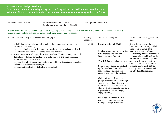## **Action Plan and Budget Tracking**

Capture your intended annual spend against the 5 key indicators. Clarify the success criteria and evidence of impact that you intend to measure to evaluate for students today and for the future.

| Academic Year: 2018/19                                                                                                                                                                                                           | Total fund allocated: £19,450<br>Total amount spent to date: 19,343.66                                                                                                                                                                                                                                                                                                                                                  | Date Updated: 28/06/2019 |                                                                                                                                                                                                                                                                                                                                                                                                                                                                                                                                                                                                                                                                       |                                                                                                                                                                                                                                                                                                                                                                                                                              |
|----------------------------------------------------------------------------------------------------------------------------------------------------------------------------------------------------------------------------------|-------------------------------------------------------------------------------------------------------------------------------------------------------------------------------------------------------------------------------------------------------------------------------------------------------------------------------------------------------------------------------------------------------------------------|--------------------------|-----------------------------------------------------------------------------------------------------------------------------------------------------------------------------------------------------------------------------------------------------------------------------------------------------------------------------------------------------------------------------------------------------------------------------------------------------------------------------------------------------------------------------------------------------------------------------------------------------------------------------------------------------------------------|------------------------------------------------------------------------------------------------------------------------------------------------------------------------------------------------------------------------------------------------------------------------------------------------------------------------------------------------------------------------------------------------------------------------------|
| Key indicator 1: The engagement of all pupils in regular physical activity – Chief Medical Officer guidelines recommend that primary<br>school children undertake at least 30 minutes of physical activity a day in school       |                                                                                                                                                                                                                                                                                                                                                                                                                         |                          |                                                                                                                                                                                                                                                                                                                                                                                                                                                                                                                                                                                                                                                                       |                                                                                                                                                                                                                                                                                                                                                                                                                              |
| School focus with clarity on intended impact on pupils:                                                                                                                                                                          |                                                                                                                                                                                                                                                                                                                                                                                                                         | Funding<br>allocated:    | Evidence and impact:                                                                                                                                                                                                                                                                                                                                                                                                                                                                                                                                                                                                                                                  | Sustainability and suggested next<br>steps:                                                                                                                                                                                                                                                                                                                                                                                  |
| healthy and active lifestyle.<br>To introduce new activities to both parents and children<br>activities inside/outside of school.<br>behavioural problems through sport.<br>To develop the role of sports leaders in our school. | All children to have a better understanding of the importance of leading a<br>To educate families on the importance of leading a healthy and active lifestyle.<br>Aim to have 100% of our pupils' active for at least 30 minutes a day in school.<br>Provide opportunities for the least active children to attend extra-curricular<br>To provide a reflection and calming time for children with social, emotional and | £5000                    | Spend to date = $£6357.95$<br>Pupils who are noted as less active<br>have attended weekly Boogie<br>Bounce sessions from 3-6.<br>Year $1 \& 2$ are attending this term.<br>Some of these pupils have signed<br>up for the after-school club<br>following these sessions and<br>attended sessions at the weekend.<br>Children from particular year<br>groups have been targeted through<br>yoga and street dance this year and<br>improvements have been seen from<br>class teachers and the children have<br>expressed that they thoroughly<br>enjoy attending.<br>Other taster sessions have also<br>taken place for all year groups<br>throughout the year (Hockey, | Due to the expense of these in-<br>house sessions, it is very unlikely<br>these could continue if the<br>funding is stopped. We are<br>however targeting pupils who will<br>be in our school and MAT for the<br>foreseeable future and hope these<br>sessions will have a long-term<br>effect on their social, emotional<br>and behavioural needs as they<br>develop coping techniques and<br>are introduced to local clubs. |

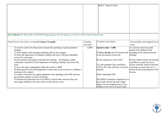|                                                                                                                                                                                                                                                                                                                                                                                                                                                                                                                                                                                                                                                                                                                                                                                                                                                                                 |                       | Dance, Yoga in-class).                                                                                                                                                                                                                                                                                                                                                                                          |                                                                                                                                                                                                                                                                                                                 |
|---------------------------------------------------------------------------------------------------------------------------------------------------------------------------------------------------------------------------------------------------------------------------------------------------------------------------------------------------------------------------------------------------------------------------------------------------------------------------------------------------------------------------------------------------------------------------------------------------------------------------------------------------------------------------------------------------------------------------------------------------------------------------------------------------------------------------------------------------------------------------------|-----------------------|-----------------------------------------------------------------------------------------------------------------------------------------------------------------------------------------------------------------------------------------------------------------------------------------------------------------------------------------------------------------------------------------------------------------|-----------------------------------------------------------------------------------------------------------------------------------------------------------------------------------------------------------------------------------------------------------------------------------------------------------------|
| Key indicator 2: The profile of PESSPA being raised across the school as a tool for whole school improvement                                                                                                                                                                                                                                                                                                                                                                                                                                                                                                                                                                                                                                                                                                                                                                    |                       |                                                                                                                                                                                                                                                                                                                                                                                                                 |                                                                                                                                                                                                                                                                                                                 |
| School focus with clarity on intended impact on pupils:                                                                                                                                                                                                                                                                                                                                                                                                                                                                                                                                                                                                                                                                                                                                                                                                                         | Funding<br>allocated: | Evidence and impact:                                                                                                                                                                                                                                                                                                                                                                                            | Sustainability and suggested next<br>steps:                                                                                                                                                                                                                                                                     |
| To involve staff in the discussions around the spending of sports premium<br>funding.<br>To have regular staff meetings updating staff on any changes.<br>To have the importance of leading a healthy and active lifestyle embedded<br>across the curriculum.<br>Involve parents and pupils in the decision making – developing a whole<br>community awareness of the importance of leading a healthy and active life-<br>style.<br>To have the above highlighted within the school's SDIP.<br>Provide spare PE kits and equipment to ensure this is not a barrier to children's<br>learning in this subject.<br>To ensure Governors are regular updated on the spending of the SPF and any<br>government updates in terms of obesity.<br>To develop the important role of an MSA at lunch times and how they can<br>encourage children to be more active in safe and fun ways. | £1000                 | Spend to date = $\pounds 400$<br>Children do not miss PE lessons due<br>to not having the correct kit.<br>SS has reported in every FGB.<br>X2 staff members have attended a<br>CPD on PE cafes and how to involve<br>families.<br>MSAs attending CPD.<br>JM (NPECS trained) is employed as a<br>play leader and he has had a huge<br>impact on encouraging more of our<br>children to be active at lunch times. | To continue involving staff,<br>parents and children in the<br>spending of the sports premium<br>funding.<br>PE kits within school still remains<br>a problem as spare kits aren't<br>always returned. Need to develop<br>a strategy to ensure this isn't a<br>barrier to their participation in PE<br>lessons. |

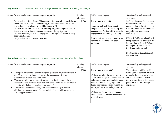| Key indicator 3: Increased confidence, knowledge and skills of all staff in teaching PE and sport                                                                                                                                                                                                                                                                                                                                                                                                                                                                                                                          |                       |                                                                                                                                                                                                                                                                                                                                                                                                |                                                                                                                                                                                                                                                                                                                                                                                                                       |
|----------------------------------------------------------------------------------------------------------------------------------------------------------------------------------------------------------------------------------------------------------------------------------------------------------------------------------------------------------------------------------------------------------------------------------------------------------------------------------------------------------------------------------------------------------------------------------------------------------------------------|-----------------------|------------------------------------------------------------------------------------------------------------------------------------------------------------------------------------------------------------------------------------------------------------------------------------------------------------------------------------------------------------------------------------------------|-----------------------------------------------------------------------------------------------------------------------------------------------------------------------------------------------------------------------------------------------------------------------------------------------------------------------------------------------------------------------------------------------------------------------|
| School focus with clarity on intended impact on pupils:                                                                                                                                                                                                                                                                                                                                                                                                                                                                                                                                                                    | Funding<br>allocated: | Evidence and impact:                                                                                                                                                                                                                                                                                                                                                                           | Sustainability and suggested<br>next steps:                                                                                                                                                                                                                                                                                                                                                                           |
| To provide a variety of staff CPD opportunities to develop knowledge $\&$<br>understanding in teaching and learning, to introduce new sports to the<br>curriculum and to advance the middle leader of PE.<br>To increase the confidence of staff teaching PE, providing resources for<br>teachers to help with planning and delivery of the curriculum.<br>To develop strategies to encourage parents to adopt healthy and activity<br>lifestyles at home.<br>To provide a PSHCE inset for teachers.<br>Key indicator 4: Broader experience of a range of sports and activities offered to all pupils                      | £1500                 | Spend to date = $£1060$<br>Courses which staff have recently<br>completed: Level 4 in Leadership and<br>management, PE Spark Café (parental<br>engagement), Swimming Coaching.<br>A variety of resources and plans to aid<br>teaching and learning have been<br>purchased.                                                                                                                     | Staff members who have attended<br>these courses will have a better<br>understanding of how to excel in<br>their area and have an impact on<br>our children's learning and<br>wellbeing.<br>PE Spark Café - a trial café will<br>take place with Y5 parents in the<br>Summer Term. These PE Cafes<br>will hopefully take place half-<br>termly across the school.<br>PSHCE inset to take place next<br>academic year. |
| School focus with clarity on intended impact on pupils:<br>Evidence and impact:<br>Funding                                                                                                                                                                                                                                                                                                                                                                                                                                                                                                                                 |                       |                                                                                                                                                                                                                                                                                                                                                                                                | Sustainability and suggested                                                                                                                                                                                                                                                                                                                                                                                          |
|                                                                                                                                                                                                                                                                                                                                                                                                                                                                                                                                                                                                                            | allocated:            |                                                                                                                                                                                                                                                                                                                                                                                                | next steps:                                                                                                                                                                                                                                                                                                                                                                                                           |
| To expose children to a broader range of sports and physical activities in<br>$\bullet$<br>our PE lessons, developing a love for the subject and life-long<br>participation of sport into adult-hood.<br>To expose children to a range of sports and activities through local<br>$\bullet$<br>competition and local facilities. This will enable families and children to<br>identify what is in their local area (grass roots).<br>To offer a wide range of sporty after-school club to again expose<br>$\bullet$<br>children to a broader range of sports and physical activities to develop<br>life-long participation. | £5000                 | Spend to date = $£5299.67$<br>We have introduced a variety of after-<br>school clubs this year at a reduced rate<br>and in some cases free: football, boogie<br>bounce, slanted dance, yoga, street<br>dance, board games (competition), tri-<br>golf, speed stacking, and gymnastics.<br>We have purchased new equipment to<br>allow teachers to introduce new activities<br>in their lesson. | The equipment will be used in<br>future years to come by a variety<br>of pupils. Teacher's knowledge<br>and understanding will also<br>improve over time as they adapt<br>plans and activities through<br>experience.                                                                                                                                                                                                 |